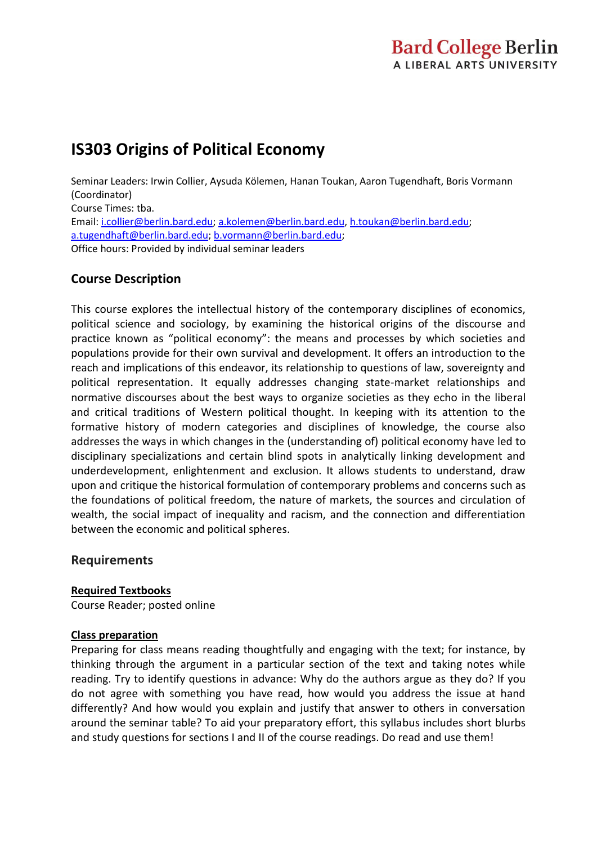# **IS303 Origins of Political Economy**

Seminar Leaders: Irwin Collier, Aysuda Kölemen, Hanan Toukan, Aaron Tugendhaft, Boris Vormann (Coordinator) Course Times: tba. Email: [i.collier@berlin.bard.edu;](mailto:i.collier@berlin.bard.edu) [a.kolemen@berlin.bard.edu,](mailto:a.kolemen@berlin.bard.edu) [h.toukan@berlin.bard.edu;](mailto:h.toukan@berlin.bard.edu) [a.tugendhaft@berlin.bard.edu;](mailto:a.tugendhaft@berlin.bard.edu) [b.vormann@berlin.bard.edu;](mailto:b.vormann@berlin.bard.edu) Office hours: Provided by individual seminar leaders

# **Course Description**

This course explores the intellectual history of the contemporary disciplines of economics, political science and sociology, by examining the historical origins of the discourse and practice known as "political economy": the means and processes by which societies and populations provide for their own survival and development. It offers an introduction to the reach and implications of this endeavor, its relationship to questions of law, sovereignty and political representation. It equally addresses changing state-market relationships and normative discourses about the best ways to organize societies as they echo in the liberal and critical traditions of Western political thought. In keeping with its attention to the formative history of modern categories and disciplines of knowledge, the course also addresses the ways in which changes in the (understanding of) political economy have led to disciplinary specializations and certain blind spots in analytically linking development and underdevelopment, enlightenment and exclusion. It allows students to understand, draw upon and critique the historical formulation of contemporary problems and concerns such as the foundations of political freedom, the nature of markets, the sources and circulation of wealth, the social impact of inequality and racism, and the connection and differentiation between the economic and political spheres.

# **Requirements**

### **Required Textbooks**

Course Reader; posted online

### **Class preparation**

Preparing for class means reading thoughtfully and engaging with the text; for instance, by thinking through the argument in a particular section of the text and taking notes while reading. Try to identify questions in advance: Why do the authors argue as they do? If you do not agree with something you have read, how would you address the issue at hand differently? And how would you explain and justify that answer to others in conversation around the seminar table? To aid your preparatory effort, this syllabus includes short blurbs and study questions for sections I and II of the course readings. Do read and use them!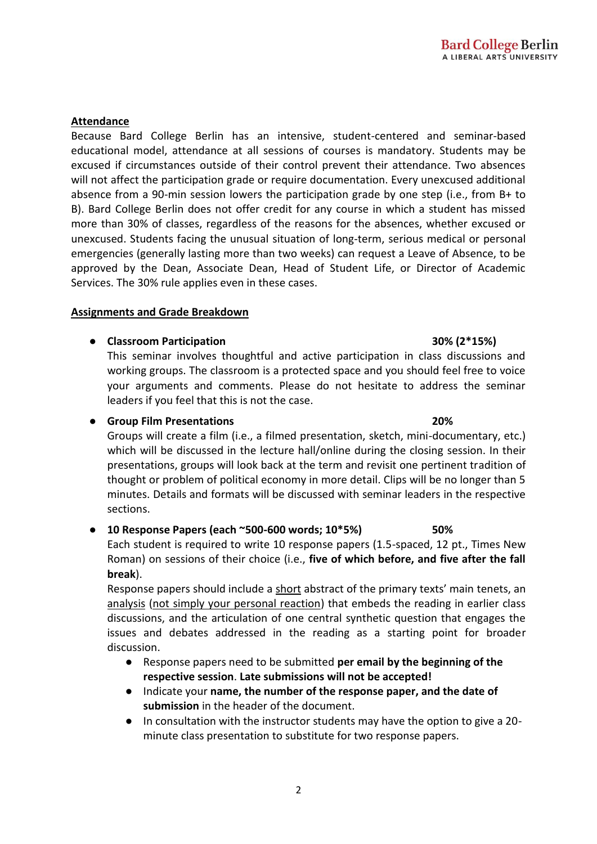2

### **Attendance**

Because Bard College Berlin has an intensive, student-centered and seminar-based educational model, attendance at all sessions of courses is mandatory. Students may be excused if circumstances outside of their control prevent their attendance. Two absences will not affect the participation grade or require documentation. Every unexcused additional absence from a 90-min session lowers the participation grade by one step (i.e., from B+ to B). Bard College Berlin does not offer credit for any course in which a student has missed more than 30% of classes, regardless of the reasons for the absences, whether excused or unexcused. Students facing the unusual situation of long-term, serious medical or personal emergencies (generally lasting more than two weeks) can request a Leave of Absence, to be approved by the Dean, Associate Dean, Head of Student Life, or Director of Academic Services. The 30% rule applies even in these cases.

### **Assignments and Grade Breakdown**

# ● **Classroom Participation 30% (2\*15%)**

This seminar involves thoughtful and active participation in class discussions and working groups. The classroom is a protected space and you should feel free to voice your arguments and comments. Please do not hesitate to address the seminar leaders if you feel that this is not the case.

### ● **Group Film Presentations 20%**

Groups will create a film (i.e., a filmed presentation, sketch, mini-documentary, etc.) which will be discussed in the lecture hall/online during the closing session. In their presentations, groups will look back at the term and revisit one pertinent tradition of thought or problem of political economy in more detail. Clips will be no longer than 5 minutes. Details and formats will be discussed with seminar leaders in the respective sections.

# ● **10 Response Papers (each ~500-600 words; 10\*5%) 50%**

Each student is required to write 10 response papers (1.5-spaced, 12 pt., Times New Roman) on sessions of their choice (i.e., **five of which before, and five after the fall break**).

Response papers should include a short abstract of the primary texts' main tenets, an analysis (not simply your personal reaction) that embeds the reading in earlier class discussions, and the articulation of one central synthetic question that engages the issues and debates addressed in the reading as a starting point for broader discussion.

- Response papers need to be submitted **per email by the beginning of the respective session**. **Late submissions will not be accepted!**
- Indicate your **name, the number of the response paper, and the date of submission** in the header of the document.
- In consultation with the instructor students may have the option to give a 20 minute class presentation to substitute for two response papers.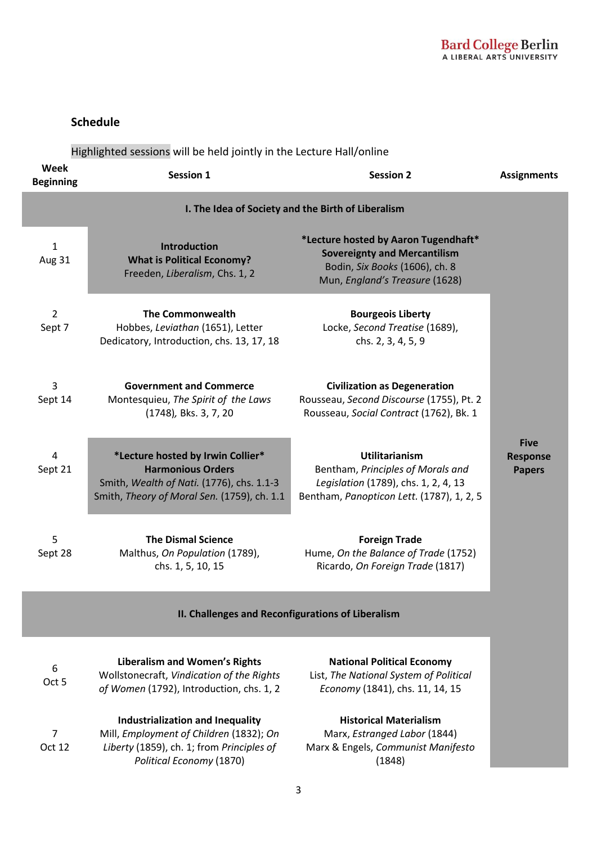### **Schedule**

Highlighted sessions will be held jointly in the Lecture Hall/online

| Week<br><b>Beginning</b>                           | <b>Session 1</b>                                                                                                                                          | <b>Session 2</b>                                                                                                                                | <b>Assignments</b>                              |  |
|----------------------------------------------------|-----------------------------------------------------------------------------------------------------------------------------------------------------------|-------------------------------------------------------------------------------------------------------------------------------------------------|-------------------------------------------------|--|
| I. The Idea of Society and the Birth of Liberalism |                                                                                                                                                           |                                                                                                                                                 |                                                 |  |
| $\mathbf{1}$<br>Aug 31                             | <b>Introduction</b><br><b>What is Political Economy?</b><br>Freeden, Liberalism, Chs. 1, 2                                                                | *Lecture hosted by Aaron Tugendhaft*<br><b>Sovereignty and Mercantilism</b><br>Bodin, Six Books (1606), ch. 8<br>Mun, England's Treasure (1628) |                                                 |  |
| $\overline{2}$<br>Sept 7                           | <b>The Commonwealth</b><br>Hobbes, Leviathan (1651), Letter<br>Dedicatory, Introduction, chs. 13, 17, 18                                                  | <b>Bourgeois Liberty</b><br>Locke, Second Treatise (1689),<br>chs. 2, 3, 4, 5, 9                                                                |                                                 |  |
| 3<br>Sept 14                                       | <b>Government and Commerce</b><br>Montesquieu, The Spirit of the Laws<br>(1748), Bks. 3, 7, 20                                                            | <b>Civilization as Degeneration</b><br>Rousseau, Second Discourse (1755), Pt. 2<br>Rousseau, Social Contract (1762), Bk. 1                      |                                                 |  |
| 4<br>Sept 21                                       | *Lecture hosted by Irwin Collier*<br><b>Harmonious Orders</b><br>Smith, Wealth of Nati. (1776), chs. 1.1-3<br>Smith, Theory of Moral Sen. (1759), ch. 1.1 | <b>Utilitarianism</b><br>Bentham, Principles of Morals and<br>Legislation (1789), chs. 1, 2, 4, 13<br>Bentham, Panopticon Lett. (1787), 1, 2, 5 | <b>Five</b><br><b>Response</b><br><b>Papers</b> |  |
| 5<br>Sept 28                                       | <b>The Dismal Science</b><br>Malthus, On Population (1789),<br>chs. 1, 5, 10, 15                                                                          | <b>Foreign Trade</b><br>Hume, On the Balance of Trade (1752)<br>Ricardo, On Foreign Trade (1817)                                                |                                                 |  |

### **II. Challenges and Reconfigurations of Liberalism**

|        | Industrialization and Inequality          |
|--------|-------------------------------------------|
| 7      | Mill, Employment of Children (1832); On   |
| Oct 12 | Liberty (1859), ch. 1; from Principles of |
|        | Political Economy (1870)                  |

**National Political Economy** List, *The National System of Political Economy* (1841), chs. 11, 14, 15

**Historical Materialism** Marx, *Estranged Labor* (1844) Marx & Engels, *Communist Manifesto* (1848)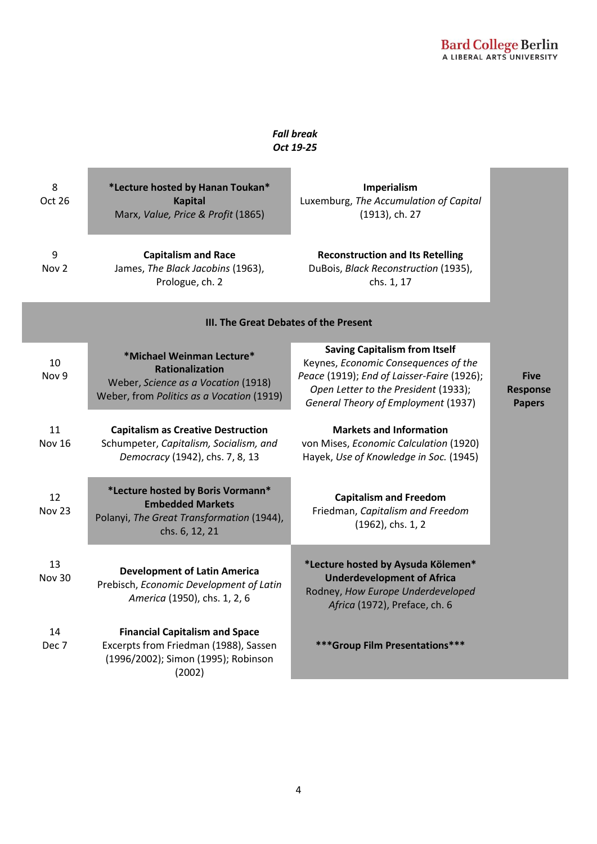### *Fall break Oct 19-25*

| 8<br>Oct 26                           | *Lecture hosted by Hanan Toukan*<br><b>Kapital</b><br>Marx, Value, Price & Profit (1865)                                                | Imperialism<br>Luxemburg, The Accumulation of Capital<br>(1913), ch. 27                                                                                                                                   |                                                 |  |
|---------------------------------------|-----------------------------------------------------------------------------------------------------------------------------------------|-----------------------------------------------------------------------------------------------------------------------------------------------------------------------------------------------------------|-------------------------------------------------|--|
| 9<br>Nov <sub>2</sub>                 | <b>Capitalism and Race</b><br>James, The Black Jacobins (1963),<br>Prologue, ch. 2                                                      | <b>Reconstruction and Its Retelling</b><br>DuBois, Black Reconstruction (1935),<br>chs. 1, 17                                                                                                             |                                                 |  |
| III. The Great Debates of the Present |                                                                                                                                         |                                                                                                                                                                                                           |                                                 |  |
| 10<br>Nov 9                           | *Michael Weinman Lecture*<br><b>Rationalization</b><br>Weber, Science as a Vocation (1918)<br>Weber, from Politics as a Vocation (1919) | <b>Saving Capitalism from Itself</b><br>Keynes, Economic Consequences of the<br>Peace (1919); End of Laisser-Faire (1926);<br>Open Letter to the President (1933);<br>General Theory of Employment (1937) | <b>Five</b><br><b>Response</b><br><b>Papers</b> |  |
| 11<br><b>Nov 16</b>                   | <b>Capitalism as Creative Destruction</b><br>Schumpeter, Capitalism, Socialism, and<br>Democracy (1942), chs. 7, 8, 13                  | <b>Markets and Information</b><br>von Mises, Economic Calculation (1920)<br>Hayek, Use of Knowledge in Soc. (1945)                                                                                        |                                                 |  |
| 12<br><b>Nov 23</b>                   | *Lecture hosted by Boris Vormann*<br><b>Embedded Markets</b><br>Polanyi, The Great Transformation (1944),<br>chs. 6, 12, 21             | <b>Capitalism and Freedom</b><br>Friedman, Capitalism and Freedom<br>(1962), chs. 1, 2                                                                                                                    |                                                 |  |
| 13<br><b>Nov 30</b>                   | <b>Development of Latin America</b><br>Prebisch, Economic Development of Latin<br>America (1950), chs. 1, 2, 6                          | *Lecture hosted by Aysuda Kölemen*<br><b>Underdevelopment of Africa</b><br>Rodney, How Europe Underdeveloped<br>Africa (1972), Preface, ch. 6                                                             |                                                 |  |
| 14<br>Dec 7                           | <b>Financial Capitalism and Space</b><br>Excerpts from Friedman (1988), Sassen<br>(1996/2002); Simon (1995); Robinson<br>(2002)         | *** Group Film Presentations***                                                                                                                                                                           |                                                 |  |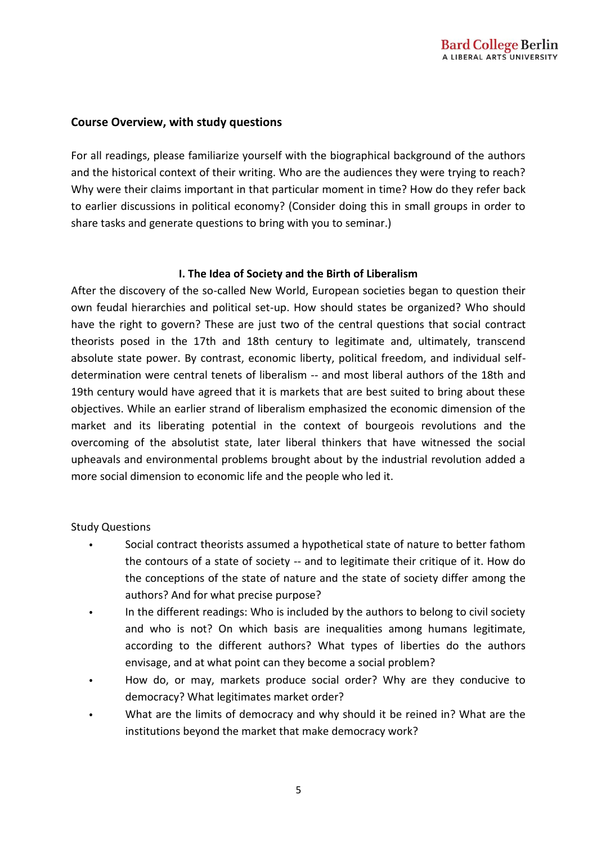### **Course Overview, with study questions**

For all readings, please familiarize yourself with the biographical background of the authors and the historical context of their writing. Who are the audiences they were trying to reach? Why were their claims important in that particular moment in time? How do they refer back to earlier discussions in political economy? (Consider doing this in small groups in order to share tasks and generate questions to bring with you to seminar.)

### **I. The Idea of Society and the Birth of Liberalism**

After the discovery of the so-called New World, European societies began to question their own feudal hierarchies and political set-up. How should states be organized? Who should have the right to govern? These are just two of the central questions that social contract theorists posed in the 17th and 18th century to legitimate and, ultimately, transcend absolute state power. By contrast, economic liberty, political freedom, and individual selfdetermination were central tenets of liberalism -- and most liberal authors of the 18th and 19th century would have agreed that it is markets that are best suited to bring about these objectives. While an earlier strand of liberalism emphasized the economic dimension of the market and its liberating potential in the context of bourgeois revolutions and the overcoming of the absolutist state, later liberal thinkers that have witnessed the social upheavals and environmental problems brought about by the industrial revolution added a more social dimension to economic life and the people who led it.

### Study Questions

- Social contract theorists assumed a hypothetical state of nature to better fathom the contours of a state of society -- and to legitimate their critique of it. How do the conceptions of the state of nature and the state of society differ among the authors? And for what precise purpose?
- In the different readings: Who is included by the authors to belong to civil society and who is not? On which basis are inequalities among humans legitimate, according to the different authors? What types of liberties do the authors envisage, and at what point can they become a social problem?
- How do, or may, markets produce social order? Why are they conducive to democracy? What legitimates market order?
- What are the limits of democracy and why should it be reined in? What are the institutions beyond the market that make democracy work?